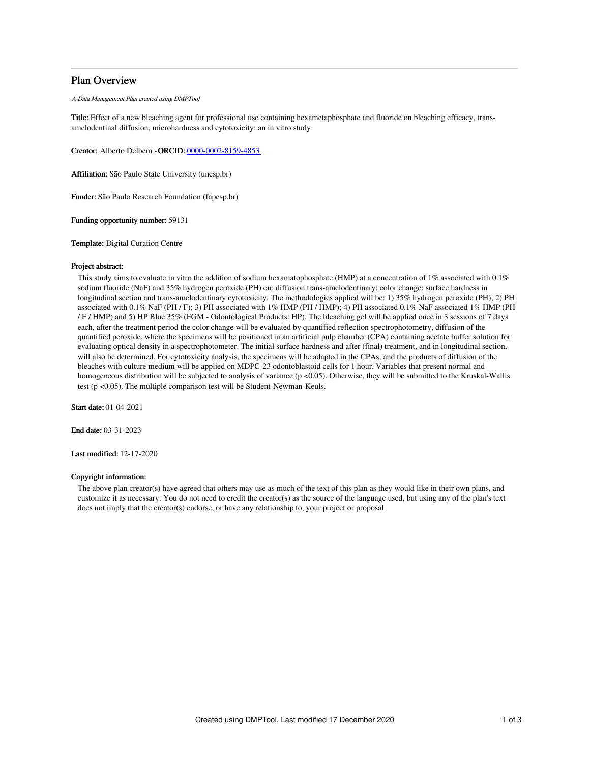# Plan Overview

A Data Management Plan created using DMPTool

Title: Effect of a new bleaching agent for professional use containing hexametaphosphate and fluoride on bleaching efficacy, transamelodentinal diffusion, microhardness and cytotoxicity: an in vitro study

Creator: Alberto Delbem -ORCID: [0000-0002-8159-4853](https://orcid.org/0000-0002-8159-4853)

Affiliation: São Paulo State University (unesp.br)

Funder: São Paulo Research Foundation (fapesp.br)

Funding opportunity number: 59131

Template: Digital Curation Centre

## Project abstract:

This study aims to evaluate in vitro the addition of sodium hexamatophosphate (HMP) at a concentration of 1% associated with 0.1% sodium fluoride (NaF) and 35% hydrogen peroxide (PH) on: diffusion trans-amelodentinary; color change; surface hardness in longitudinal section and trans-amelodentinary cytotoxicity. The methodologies applied will be: 1) 35% hydrogen peroxide (PH); 2) PH associated with 0.1% NaF (PH / F); 3) PH associated with 1% HMP (PH / HMP); 4) PH associated 0.1% NaF associated 1% HMP (PH / F / HMP) and 5) HP Blue 35% (FGM - Odontological Products: HP). The bleaching gel will be applied once in 3 sessions of 7 days each, after the treatment period the color change will be evaluated by quantified reflection spectrophotometry, diffusion of the quantified peroxide, where the specimens will be positioned in an artificial pulp chamber (CPA) containing acetate buffer solution for evaluating optical density in a spectrophotometer. The initial surface hardness and after (final) treatment, and in longitudinal section, will also be determined. For cytotoxicity analysis, the specimens will be adapted in the CPAs, and the products of diffusion of the bleaches with culture medium will be applied on MDPC-23 odontoblastoid cells for 1 hour. Variables that present normal and homogeneous distribution will be subjected to analysis of variance (p <0.05). Otherwise, they will be submitted to the Kruskal-Wallis test (p <0.05). The multiple comparison test will be Student-Newman-Keuls.

Start date: 01-04-2021

End date: 03-31-2023

Last modified: 12-17-2020

## Copyright information:

The above plan creator(s) have agreed that others may use as much of the text of this plan as they would like in their own plans, and customize it as necessary. You do not need to credit the creator(s) as the source of the language used, but using any of the plan's text does not imply that the creator(s) endorse, or have any relationship to, your project or proposal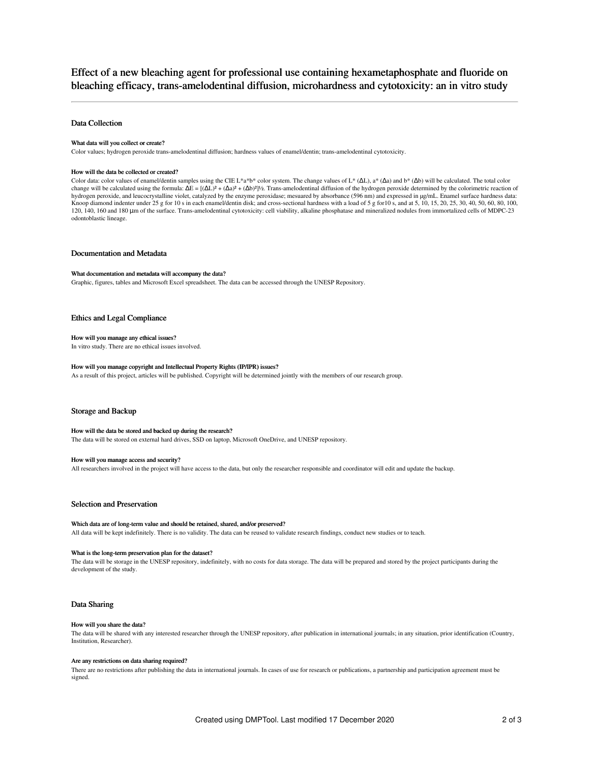Effect of a new bleaching agent for professional use containing hexametaphosphate and fluoride on bleaching efficacy, trans-amelodentinal diffusion, microhardness and cytotoxicity: an in vitro study

## Data Collection

## What data will you collect or create?

Color values; hydrogen peroxide trans-amelodentinal diffusion; hardness values of enamel/dentin; trans-amelodentinal cytotoxicity.

#### How will the data be collected or created?

Color data: color values of enamel/dentin samples using the CIE L\*a\*b\* color system. The change values of L\* ( $\Delta L$ ), a\* ( $\Delta a$ ) and b\* ( $\Delta b$ ) will be calculated. The total color change will be calculated using the formula:  $\Delta E = [(\Delta L)^2 + (\Delta a)^2 + (\Delta b)^2]$ %. Trans-amelodentinal diffusion of the hydrogen peroxide determined by the colorimetric reaction of hydrogen peroxide, and leucocrystalline violet, catalyzed by the enzyme peroxidase; mesuared by absorbance (596 nm) and expressed in µg/mL. Enamel surface hardness data: Knoop diamond indenter under 25 g for 10 s in each enamel/dentin disk; and cross-sectional hardness with a load of 5 g for 10 s, and at 5, 10, 15, 20, 25, 30, 40, 50, 60, 80, 100, 120, 140, 160 and 180 μm of the surface. Trans-amelodentinal cytotoxicity: cell viability, alkaline phosphatase and mineralized nodules from immortalized cells of MDPC-23 odontoblastic lineage.

## Documentation and Metadata

## What documentation and metadata will accompany the data?

Graphic, figures, tables and Microsoft Excel spreadsheet. The data can be accessed through the UNESP Repository.

## Ethics and Legal Compliance

## How will you manage any ethical issues?

In vitro study. There are no ethical issues involved.

## How will you manage copyright and Intellectual Property Rights (IP/IPR) issues?

As a result of this project, articles will be published. Copyright will be determined jointly with the members of our research group.

## Storage and Backup

#### How will the data be stored and backed up during the research?

The data will be stored on external hard drives, SSD on laptop, Microsoft OneDrive, and UNESP repository.

## How will you manage access and security?

All researchers involved in the project will have access to the data, but only the researcher responsible and coordinator will edit and update the backup.

## Selection and Preservation

## Which data are of long-term value and should be retained, shared, and/or preserved?

All data will be kept indefinitely. There is no validity. The data can be reused to validate research findings, conduct new studies or to teach.

## What is the long-term preservation plan for the dataset?

The data will be storage in the UNESP repository, indefinitely, with no costs for data storage. The data will be prepared and stored by the project participants during the development of the study.

## Data Sharing

## How will you share the data?

The data will be shared with any interested researcher through the UNESP repository, after publication in international journals; in any situation, prior identification (Country, Institution, Researcher).

## Are any restrictions on data sharing required?

There are no restrictions after publishing the data in international journals. In cases of use for research or publications, a partnership and participation agreement must be signed.